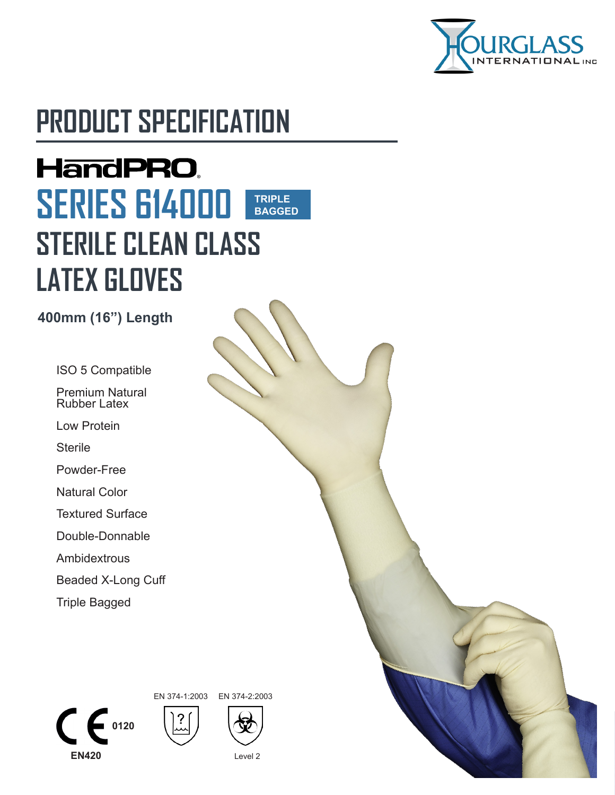

# **PRODUCT SPECIFICATION**

# **HandPRO. SERIES 614000 TRIPLE BAGGEDSTERILE CLEAN CLASS LATEX GLOVES**

**400mm (16") Length**

ISO 5 Compatible

Premium Natural Rubber Latex

Low Protein

**Sterile** 

Powder-Free

Natural Color

Textured Surface

Double-Donnable

Ambidextrous

Beaded X-Long Cuff

Triple Bagged

 $\sum_{0120}$ 





**EN420** Level 2